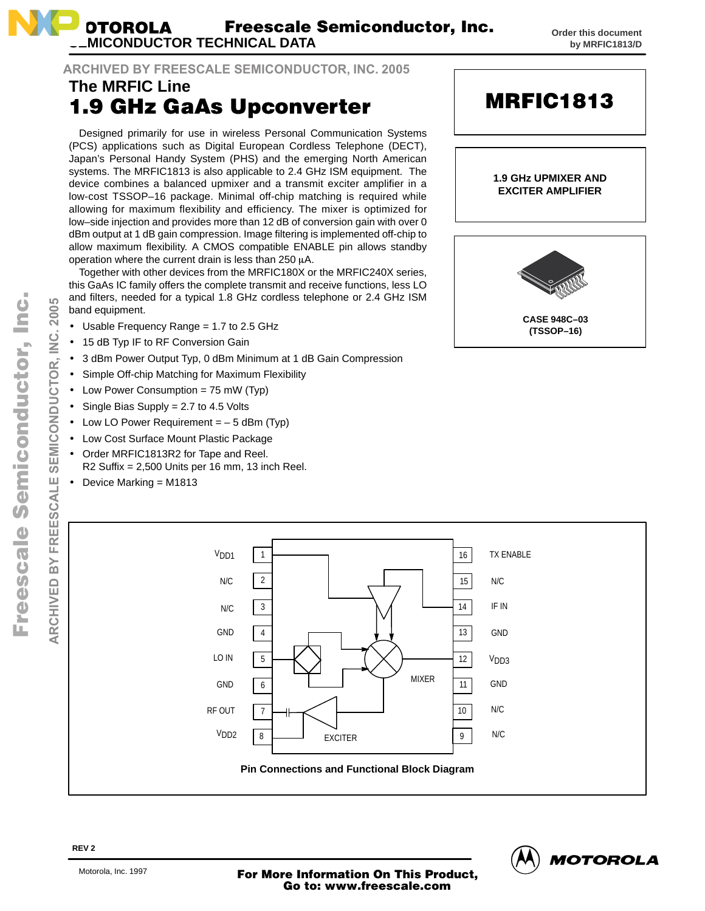

### **ARCHIVED BY FREESCALE SEMICONDUCTOR, INC. 2005**

## **The MRFIC Line 1.9 GHz GaAs Upconverter**

Designed primarily for use in wireless Personal Communication Systems (PCS) applications such as Digital European Cordless Telephone (DECT), Japan's Personal Handy System (PHS) and the emerging North American systems. The MRFIC1813 is also applicable to 2.4 GHz ISM equipment. The device combines a balanced upmixer and a transmit exciter amplifier in a low-cost TSSOP–16 package. Minimal off-chip matching is required while allowing for maximum flexibility and efficiency. The mixer is optimized for low–side injection and provides more than 12 dB of conversion gain with over 0 dBm output at 1 dB gain compression. Image filtering is implemented off-chip to allow maximum flexibility. A CMOS compatible ENABLE pin allows standby operation where the current drain is less than 250  $\mu$ A.

Together with other devices from the MRFIC180X or the MRFIC240X series, this GaAs IC family offers the complete transmit and receive functions, less LO and filters, needed for a typical 1.8 GHz cordless telephone or 2.4 GHz ISM band equipment.

- Usable Frequency Range = 1.7 to 2.5 GHz
- 15 dB Typ IF to RF Conversion Gain
- 3 dBm Power Output Typ, 0 dBm Minimum at 1 dB Gain Compression
- Simple Off-chip Matching for Maximum Flexibility
- Low Power Consumption = 75 mW (Typ)
- Single Bias Supply = 2.7 to 4.5 Volts
- Low LO Power Requirement  $=$  5 dBm (Typ)
- Low Cost Surface Mount Plastic Package
- Order MRFIC1813R2 for Tape and Reel. R2 Suffix = 2,500 Units per 16 mm, 13 inch Reel.
- Device Marking = M1813



**MRFIC1813** 



o n d u  $\mathbf 0$ t o

r, I n

.<br>ق

**2005** <u>ت</u> Ž



**REV 2**

<sup>T</sup> Motorola, Inc. 1997 **Motor Deville Product, More Information On This Product, Go to: www.freescale.com المسابق**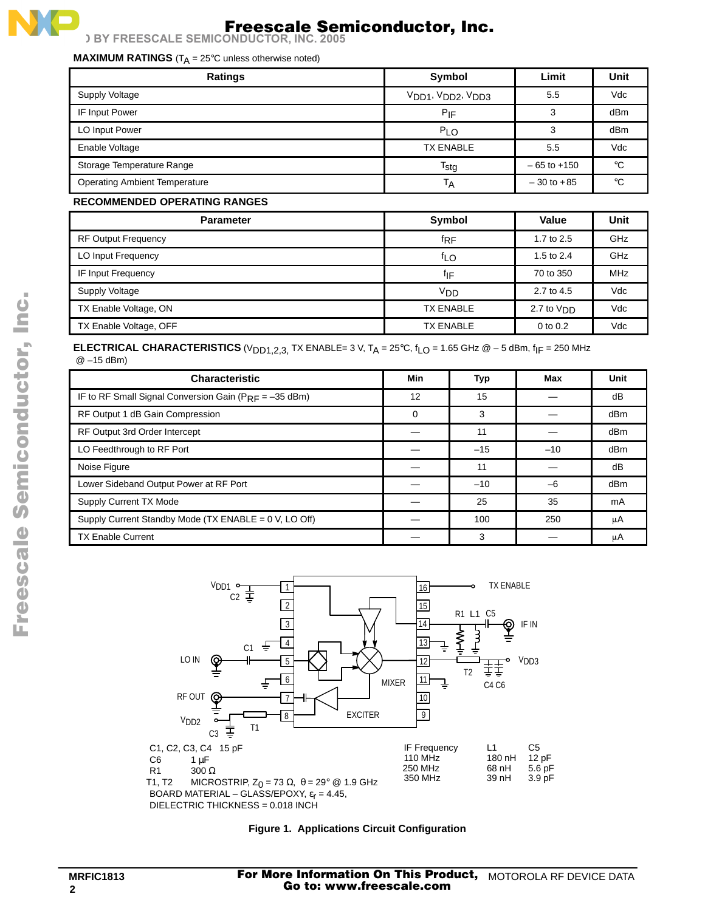### **MAXIMUM RATINGS** (T<sub>A</sub> = 25°C unless otherwise noted)

| <b>Ratings</b>                       | <b>Symbol</b>    | Limit           | Unit |
|--------------------------------------|------------------|-----------------|------|
| Supply Voltage                       | VDD1, VDD2, VDD3 | 5.5             | Vdc  |
| IF Input Power                       | $P_{IF}$         | 3               | dBm  |
| LO Input Power                       | $P_{1}$ $\Omega$ |                 | dBm  |
| Enable Voltage                       | <b>TX ENABLE</b> | 5.5             | Vdc  |
| Storage Temperature Range            | $T_{\text{stg}}$ | $-65$ to $+150$ | °C   |
| <b>Operating Ambient Temperature</b> | ΙA               | $-30$ to $+85$  | °C   |

### **RECOMMENDED OPERATING RANGES**

| <b>Parameter</b>           | <b>Symbol</b>     | Value        | Unit       |
|----------------------------|-------------------|--------------|------------|
| <b>RF Output Frequency</b> | $f_{\mathsf{RF}}$ | 1.7 to $2.5$ | GHz        |
| LO Input Frequency         | f <sub>LO</sub>   | 1.5 to $2.4$ | GHz        |
| IF Input Frequency         | flF               | 70 to 350    | <b>MHz</b> |
| <b>Supply Voltage</b>      | V <sub>DD</sub>   | 2.7 to 4.5   | Vdc        |
| TX Enable Voltage, ON      | <b>TX ENABLE</b>  | חח $V$ 10 המ | Vdc        |
| TX Enable Voltage, OFF     | <b>TX ENABLE</b>  | $0$ to $0.2$ | Vdc        |

### **ELECTRICAL CHARACTERISTICS** (V<sub>DD1,2,3</sub>, TX ENABLE= 3 V, T<sub>A</sub> = 25°C,  $f_{LO}$  = 1.65 GHz  $@$  – 5 dBm,  $f_{IF}$  = 250 MHz @ –15 dBm)

| <b>Characteristic</b>                                       | Min      | Typ   | Max   | Unit |
|-------------------------------------------------------------|----------|-------|-------|------|
| IF to RF Small Signal Conversion Gain ( $P_{RF} = -35$ dBm) | 12       | 15    |       | dB   |
| RF Output 1 dB Gain Compression                             | $\Omega$ | 3     |       | dBm  |
| RF Output 3rd Order Intercept                               |          | 11    |       | dBm  |
| LO Feedthrough to RF Port                                   |          | $-15$ | $-10$ | dBm  |
| Noise Figure                                                |          | 11    |       | dB   |
| Lower Sideband Output Power at RF Port                      |          | $-10$ | -6    | dBm  |
| <b>Supply Current TX Mode</b>                               |          | 25    | 35    | mA   |
| Supply Current Standby Mode (TX ENABLE = 0 V, LO Off)       |          | 100   | 250   | μA   |
| <b>TX Enable Current</b>                                    |          | 3     |       | μA   |



#### **Figure 1. Applications Circuit Configuration**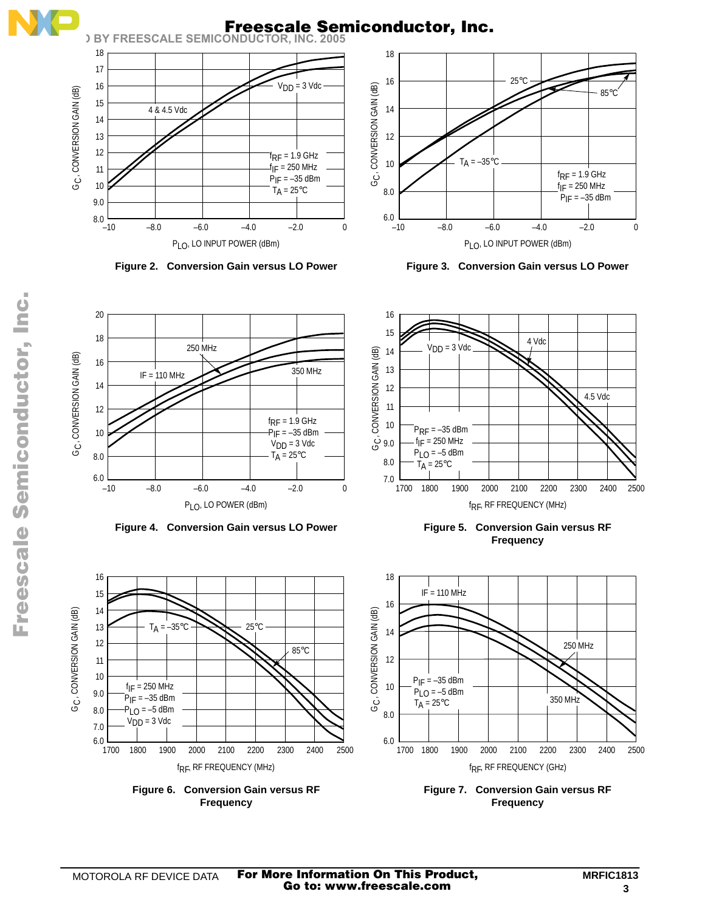

# **Freescale Semiconductor, Inc.**





**Figure 2. Conversion Gain versus LO Power Figure 3. Conversion Gain versus LO Power**



**Frequency**



**Figure 7. Conversion Gain versus RF Frequency**

13

14 15

16

12

11 10

G<sub>C</sub>, CONVERSION GAIN (dB)

8.0 7.0  $\frac{1}{1700}$ 

9.0

2300 2500 2400

85°C

**Figure 6. Conversion Gain versus RF Frequency**

f<sub>RF</sub>, RF FREQUENCY (MHz)

25°C

1700 2000 2200 2100

 $T_A = -35$ °C

1800 1900

 $f_{IF} = 250$  MHz  $P_{IF} = -35$  dBm  $P_{LO} = -5$  dBm  $V<sub>DD</sub> = 3$  Vdc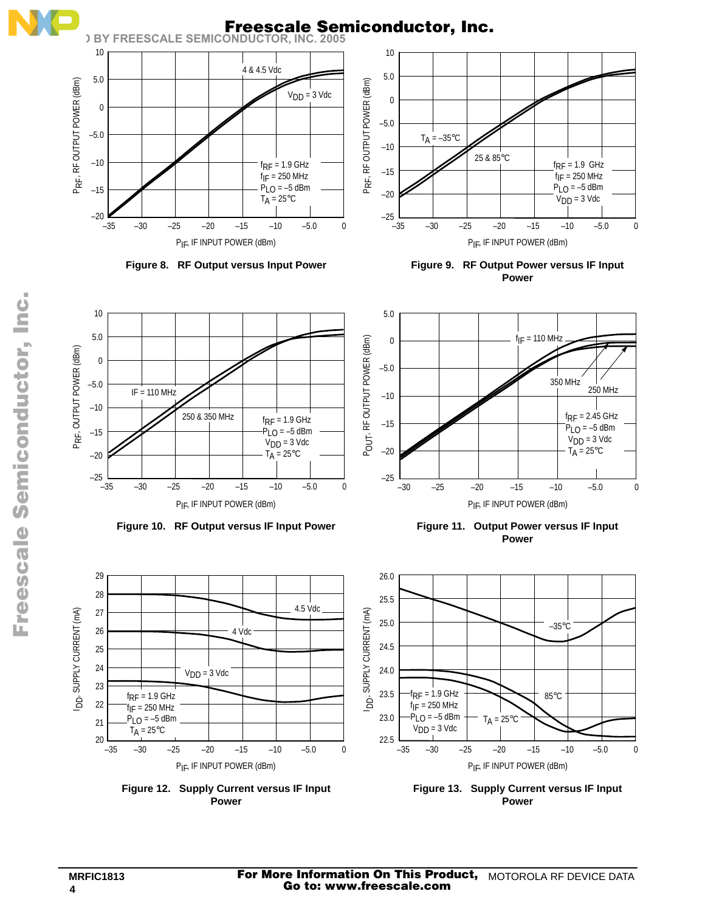

**Figure 12. Supply Current versus IF Input Power**

**Figure 13. Supply Current versus IF Input Power**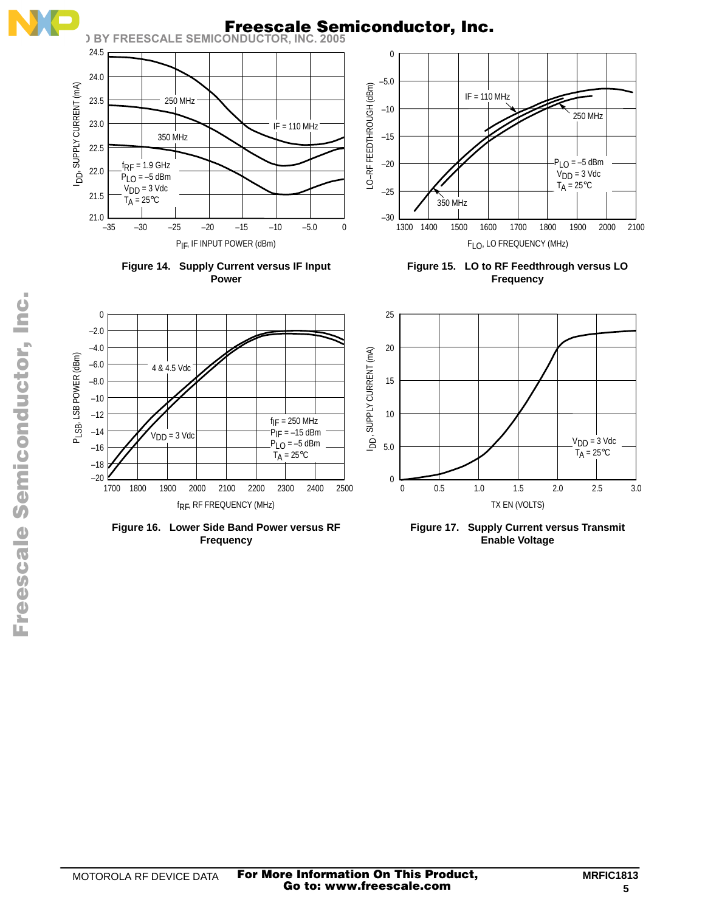

 $\boldsymbol{\Phi}$  $\bf \Phi$  $\boldsymbol{\eta}$  $\mathbf 0$ ale  $\boldsymbol{g}$  $\bf \Phi$ mic o n d

u  $\mathbf 0$ t o

r, I n

.<br>ق

Fr

**Figure 17. Supply Current versus Transmit Enable Voltage**

**Figure 16. Lower Side Band Power versus RF Frequency**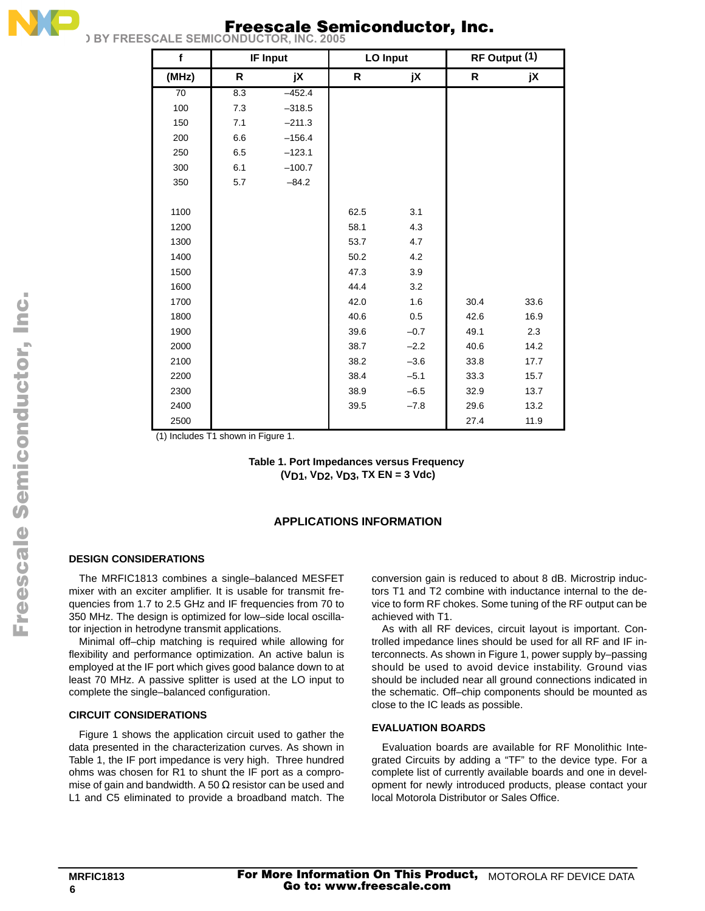

# **Freescale Semiconductor, Inc.**

| $\mathbf f$ |     | <b>IF Input</b> |      | LO Input |      | RF Output (1) |
|-------------|-----|-----------------|------|----------|------|---------------|
| (MHz)       | R.  | jX              | R.   | jX       | R    | jX            |
| 70          | 8.3 | $-452.4$        |      |          |      |               |
| 100         | 7.3 | $-318.5$        |      |          |      |               |
| 150         | 7.1 | $-211.3$        |      |          |      |               |
| 200         | 6.6 | $-156.4$        |      |          |      |               |
| 250         | 6.5 | $-123.1$        |      |          |      |               |
| 300         | 6.1 | $-100.7$        |      |          |      |               |
| 350         | 5.7 | $-84.2$         |      |          |      |               |
|             |     |                 |      |          |      |               |
| 1100        |     |                 | 62.5 | 3.1      |      |               |
| 1200        |     |                 | 58.1 | 4.3      |      |               |
| 1300        |     |                 | 53.7 | 4.7      |      |               |
| 1400        |     |                 | 50.2 | 4.2      |      |               |
| 1500        |     |                 | 47.3 | 3.9      |      |               |
| 1600        |     |                 | 44.4 | 3.2      |      |               |
| 1700        |     |                 | 42.0 | 1.6      | 30.4 | 33.6          |
| 1800        |     |                 | 40.6 | 0.5      | 42.6 | 16.9          |
| 1900        |     |                 | 39.6 | $-0.7$   | 49.1 | 2.3           |
| 2000        |     |                 | 38.7 | $-2.2$   | 40.6 | 14.2          |
| 2100        |     |                 | 38.2 | $-3.6$   | 33.8 | 17.7          |
| 2200        |     |                 | 38.4 | $-5.1$   | 33.3 | 15.7          |
| 2300        |     |                 | 38.9 | $-6.5$   | 32.9 | 13.7          |
| 2400        |     |                 | 39.5 | $-7.8$   | 29.6 | 13.2          |
| 2500        |     |                 |      |          | 27.4 | 11.9          |

(1) Includes T1 shown in Figure 1.

**Table 1. Port Impedances versus Frequency (VD1, VD2, VD3, TX EN = 3 Vdc)**

### **APPLICATIONS INFORMATION**

### **DESIGN CONSIDERATIONS**

The MRFIC1813 combines a single–balanced MESFET mixer with an exciter amplifier. It is usable for transmit frequencies from 1.7 to 2.5 GHz and IF frequencies from 70 to 350 MHz. The design is optimized for low–side local oscillator injection in hetrodyne transmit applications.

Minimal off–chip matching is required while allowing for flexibility and performance optimization. An active balun is employed at the IF port which gives good balance down to at least 70 MHz. A passive splitter is used at the LO input to complete the single–balanced configuration.

### **CIRCUIT CONSIDERATIONS**

Figure 1 shows the application circuit used to gather the data presented in the characterization curves. As shown in Table 1, the IF port impedance is very high. Three hundred ohms was chosen for R1 to shunt the IF port as a compromise of gain and bandwidth. A 50  $\Omega$  resistor can be used and L1 and C5 eliminated to provide a broadband match. The conversion gain is reduced to about 8 dB. Microstrip inductors T1 and T2 combine with inductance internal to the device to form RF chokes. Some tuning of the RF output can be achieved with T1.

As with all RF devices, circuit layout is important. Controlled impedance lines should be used for all RF and IF interconnects. As shown in Figure 1, power supply by–passing should be used to avoid device instability. Ground vias should be included near all ground connections indicated in the schematic. Off–chip components should be mounted as close to the IC leads as possible.

#### **EVALUATION BOARDS**

Evaluation boards are available for RF Monolithic Integrated Circuits by adding a "TF" to the device type. For a complete list of currently available boards and one in development for newly introduced products, please contact your local Motorola Distributor or Sales Office.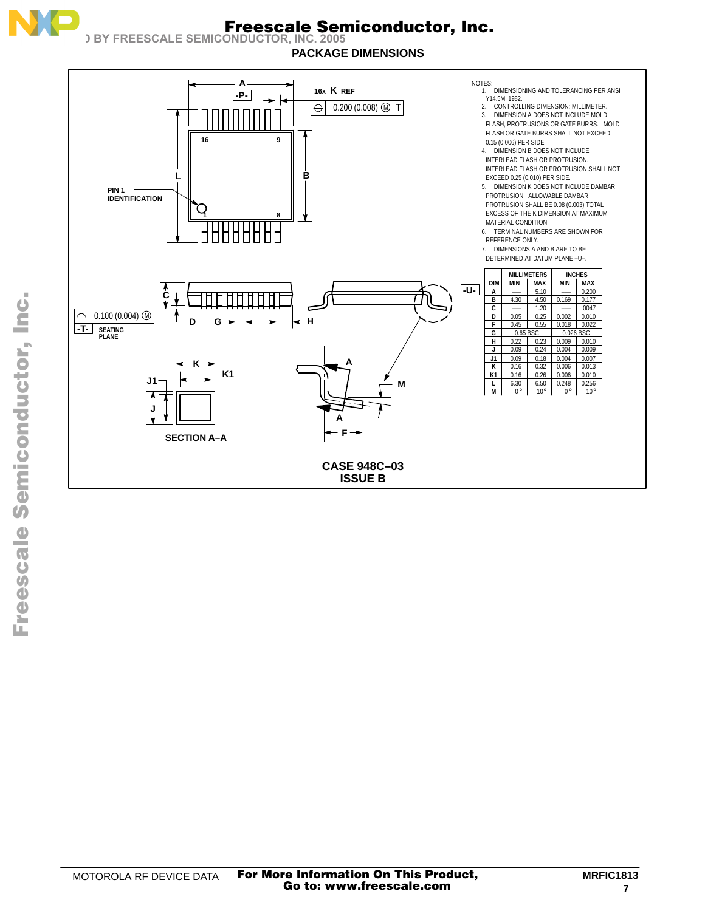

# **Freescale Semiconductor, Inc.**



**PACKAGE DIMENSIONS**